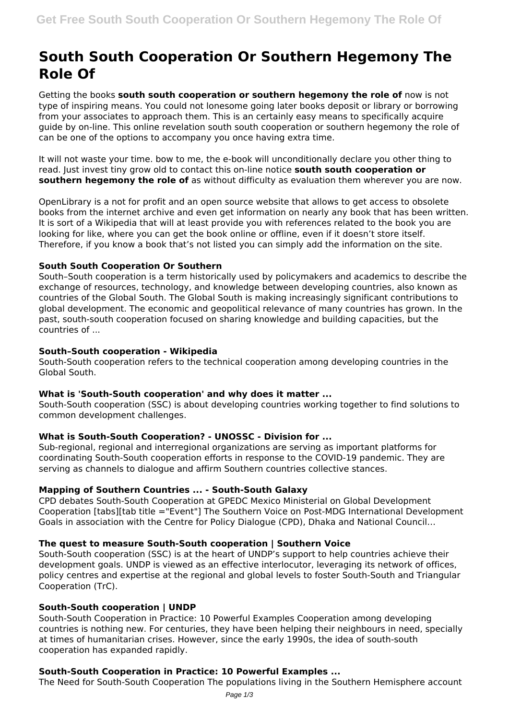# **South South Cooperation Or Southern Hegemony The Role Of**

Getting the books **south south cooperation or southern hegemony the role of** now is not type of inspiring means. You could not lonesome going later books deposit or library or borrowing from your associates to approach them. This is an certainly easy means to specifically acquire guide by on-line. This online revelation south south cooperation or southern hegemony the role of can be one of the options to accompany you once having extra time.

It will not waste your time. bow to me, the e-book will unconditionally declare you other thing to read. Just invest tiny grow old to contact this on-line notice **south south cooperation or southern hegemony the role of** as without difficulty as evaluation them wherever you are now.

OpenLibrary is a not for profit and an open source website that allows to get access to obsolete books from the internet archive and even get information on nearly any book that has been written. It is sort of a Wikipedia that will at least provide you with references related to the book you are looking for like, where you can get the book online or offline, even if it doesn't store itself. Therefore, if you know a book that's not listed you can simply add the information on the site.

# **South South Cooperation Or Southern**

South–South cooperation is a term historically used by policymakers and academics to describe the exchange of resources, technology, and knowledge between developing countries, also known as countries of the Global South. The Global South is making increasingly significant contributions to global development. The economic and geopolitical relevance of many countries has grown. In the past, south-south cooperation focused on sharing knowledge and building capacities, but the countries of ...

# **South–South cooperation - Wikipedia**

South-South cooperation refers to the technical cooperation among developing countries in the Global South.

# **What is 'South-South cooperation' and why does it matter ...**

South-South cooperation (SSC) is about developing countries working together to find solutions to common development challenges.

# **What is South-South Cooperation? - UNOSSC - Division for ...**

Sub-regional, regional and interregional organizations are serving as important platforms for coordinating South-South cooperation efforts in response to the COVID-19 pandemic. They are serving as channels to dialogue and affirm Southern countries collective stances.

### **Mapping of Southern Countries ... - South-South Galaxy**

CPD debates South-South Cooperation at GPEDC Mexico Ministerial on Global Development Cooperation [tabs][tab title ="Event"] The Southern Voice on Post-MDG International Development Goals in association with the Centre for Policy Dialogue (CPD), Dhaka and National Council…

#### **The quest to measure South-South cooperation | Southern Voice**

South-South cooperation (SSC) is at the heart of UNDP's support to help countries achieve their development goals. UNDP is viewed as an effective interlocutor, leveraging its network of offices, policy centres and expertise at the regional and global levels to foster South-South and Triangular Cooperation (TrC).

# **South-South cooperation | UNDP**

South-South Cooperation in Practice: 10 Powerful Examples Cooperation among developing countries is nothing new. For centuries, they have been helping their neighbours in need, specially at times of humanitarian crises. However, since the early 1990s, the idea of south-south cooperation has expanded rapidly.

# **South-South Cooperation in Practice: 10 Powerful Examples ...**

The Need for South-South Cooperation The populations living in the Southern Hemisphere account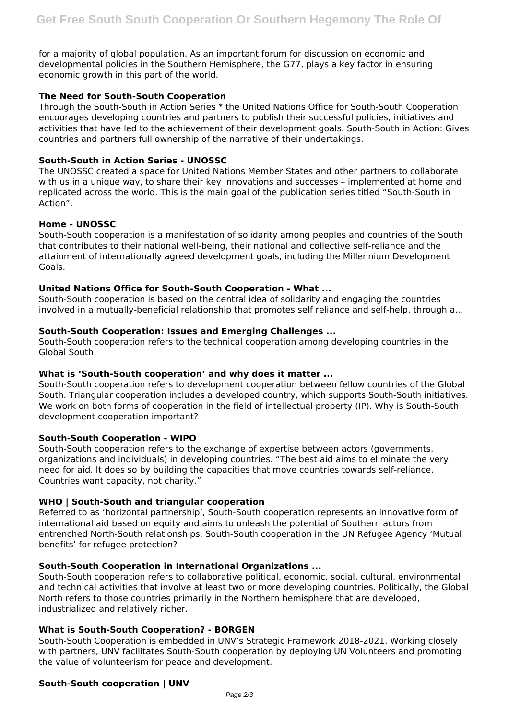for a majority of global population. As an important forum for discussion on economic and developmental policies in the Southern Hemisphere, the G77, plays a key factor in ensuring economic growth in this part of the world.

# **The Need for South-South Cooperation**

Through the South-South in Action Series \* the United Nations Office for South-South Cooperation encourages developing countries and partners to publish their successful policies, initiatives and activities that have led to the achievement of their development goals. South-South in Action: Gives countries and partners full ownership of the narrative of their undertakings.

### **South-South in Action Series - UNOSSC**

The UNOSSC created a space for United Nations Member States and other partners to collaborate with us in a unique way, to share their key innovations and successes – implemented at home and replicated across the world. This is the main goal of the publication series titled "South-South in Action".

# **Home - UNOSSC**

South-South cooperation is a manifestation of solidarity among peoples and countries of the South that contributes to their national well-being, their national and collective self-reliance and the attainment of internationally agreed development goals, including the Millennium Development Goals.

# **United Nations Office for South-South Cooperation - What ...**

South-South cooperation is based on the central idea of solidarity and engaging the countries involved in a mutually-beneficial relationship that promotes self reliance and self-help, through a...

# **South-South Cooperation: Issues and Emerging Challenges ...**

South-South cooperation refers to the technical cooperation among developing countries in the Global South.

#### **What is 'South-South cooperation' and why does it matter ...**

South-South cooperation refers to development cooperation between fellow countries of the Global South. Triangular cooperation includes a developed country, which supports South-South initiatives. We work on both forms of cooperation in the field of intellectual property (IP). Why is South-South development cooperation important?

#### **South-South Cooperation - WIPO**

South-South cooperation refers to the exchange of expertise between actors (governments, organizations and individuals) in developing countries. "The best aid aims to eliminate the very need for aid. It does so by building the capacities that move countries towards self-reliance. Countries want capacity, not charity."

# **WHO | South-South and triangular cooperation**

Referred to as 'horizontal partnership', South-South cooperation represents an innovative form of international aid based on equity and aims to unleash the potential of Southern actors from entrenched North-South relationships. South-South cooperation in the UN Refugee Agency 'Mutual benefits' for refugee protection?

### **South-South Cooperation in International Organizations ...**

South-South cooperation refers to collaborative political, economic, social, cultural, environmental and technical activities that involve at least two or more developing countries. Politically, the Global North refers to those countries primarily in the Northern hemisphere that are developed, industrialized and relatively richer.

# **What is South-South Cooperation? - BORGEN**

South-South Cooperation is embedded in UNV's Strategic Framework 2018-2021. Working closely with partners, UNV facilitates South-South cooperation by deploying UN Volunteers and promoting the value of volunteerism for peace and development.

#### **South-South cooperation | UNV**